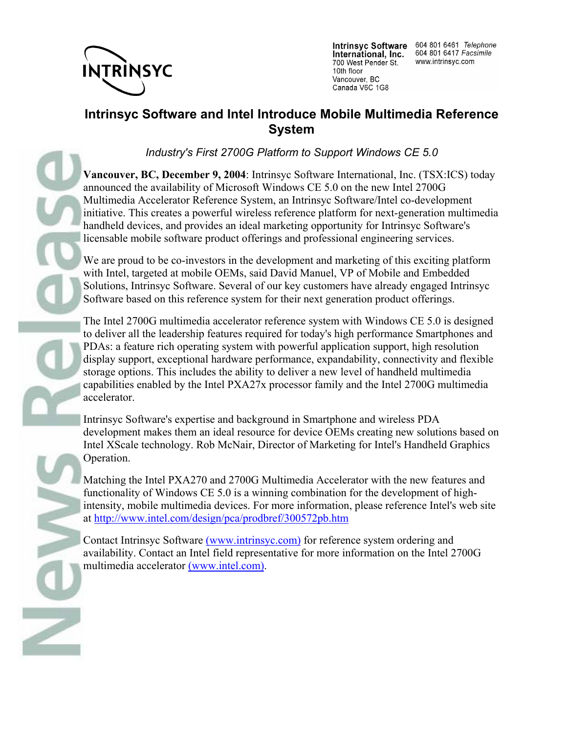

International, Inc. 700 West Pender St. 10th floor Vancouver, BC Canada V6C 1G8

Intrinsyc Software 604 801 6461 Telephone 604 801 6417 Facsimile www.intrinsyc.com

## **Intrinsyc Software and Intel Introduce Mobile Multimedia Reference System**

*Industry's First 2700G Platform to Support Windows CE 5.0*

**Vancouver, BC, December 9, 2004**: Intrinsyc Software International, Inc. (TSX:ICS) today announced the availability of Microsoft Windows CE 5.0 on the new Intel 2700G Multimedia Accelerator Reference System, an Intrinsyc Software/Intel co-development initiative. This creates a powerful wireless reference platform for next-generation multimedia handheld devices, and provides an ideal marketing opportunity for Intrinsyc Software's licensable mobile software product offerings and professional engineering services.

We are proud to be co-investors in the development and marketing of this exciting platform with Intel, targeted at mobile OEMs, said David Manuel, VP of Mobile and Embedded Solutions, Intrinsyc Software. Several of our key customers have already engaged Intrinsyc Software based on this reference system for their next generation product offerings.

The Intel 2700G multimedia accelerator reference system with Windows CE 5.0 is designed to deliver all the leadership features required for today's high performance Smartphones and PDAs: a feature rich operating system with powerful application support, high resolution display support, exceptional hardware performance, expandability, connectivity and flexible storage options. This includes the ability to deliver a new level of handheld multimedia capabilities enabled by the Intel PXA27x processor family and the Intel 2700G multimedia accelerator.

Intrinsyc Software's expertise and background in Smartphone and wireless PDA development makes them an ideal resource for device OEMs creating new solutions based on Intel XScale technology. Rob McNair, Director of Marketing for Intel's Handheld Graphics Operation.

Matching the Intel PXA270 and 2700G Multimedia Accelerator with the new features and functionality of Windows CE 5.0 is a winning combination for the development of highintensity, mobile multimedia devices. For more information, please reference Intel's web site at http://www.intel.com/design/pca/prodbref/300572pb.htm

Contact Intrinsyc Software (www.intrinsyc.com) for reference system ordering and availability. Contact an Intel field representative for more information on the Intel 2700G multimedia accelerator (www.intel.com).